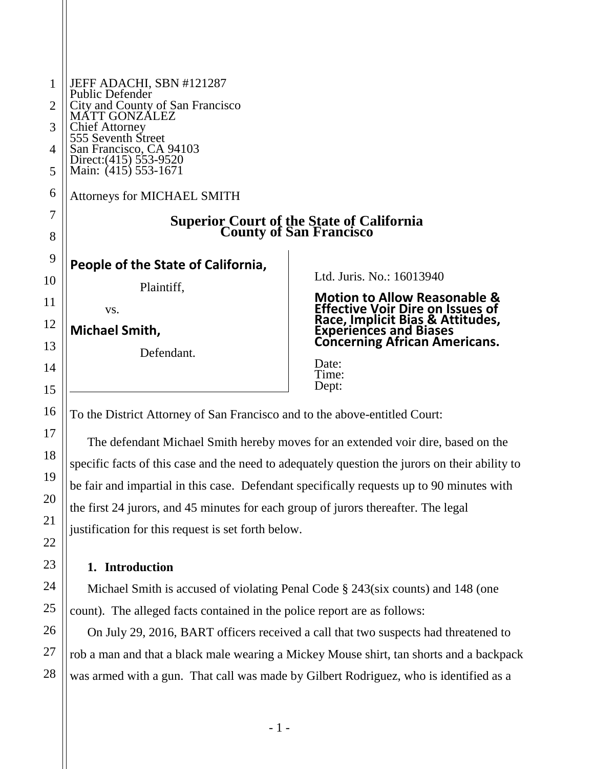| $\mathbf{1}$     | JEFF ADACHI, SBN #121287                                                     |                                                                                                          |
|------------------|------------------------------------------------------------------------------|----------------------------------------------------------------------------------------------------------|
| $\overline{2}$   | Public Defender<br>City and County of San Francisco                          |                                                                                                          |
| 3                | <b>MATT GONZÁLEZ</b><br>Chief Attorney<br>555 Seventh Street                 |                                                                                                          |
| 4                | San Francisco, CA 94103                                                      |                                                                                                          |
| 5                | Direct: (415) 553-9520<br>Main: (415) 553-1671                               |                                                                                                          |
| 6                | Attorneys for MICHAEL SMITH                                                  |                                                                                                          |
| 7                | <b>Superior Court of the State of California<br/>County of San Francisco</b> |                                                                                                          |
| 8                |                                                                              |                                                                                                          |
| 9                | People of the State of California,                                           |                                                                                                          |
| $\boldsymbol{0}$ | Plaintiff,                                                                   | Ltd. Juris. No.: 16013940                                                                                |
| 1                | VS.                                                                          | Motion to Allow Reasonable &<br>Effective Voir Dire on Issues of                                         |
| $\overline{c}$   | Michael Smith,                                                               | <b>Race, Implicit Bias &amp; Attitudes,<br/>Experiences and Biases<br/>Concerning African Americans.</b> |
| 3                | Defendant.                                                                   |                                                                                                          |
| 4                |                                                                              | Date:<br>Time:                                                                                           |
| 5                |                                                                              | Dept:                                                                                                    |

To the District Attorney of San Francisco and to the above-entitled Court:

The defendant Michael Smith hereby moves for an extended voir dire, based on the specific facts of this case and the need to adequately question the jurors on their ability to be fair and impartial in this case. Defendant specifically requests up to 90 minutes with the first 24 jurors, and 45 minutes for each group of jurors thereafter. The legal justification for this request is set forth below.

## **1. Introduction**

Michael Smith is accused of violating Penal Code § 243(six counts) and 148 (one count). The alleged facts contained in the police report are as follows:

On July 29, 2016, BART officers received a call that two suspects had threatened to rob a man and that a black male wearing a Mickey Mouse shirt, tan shorts and a backpack was armed with a gun. That call was made by Gilbert Rodriguez, who is identified as a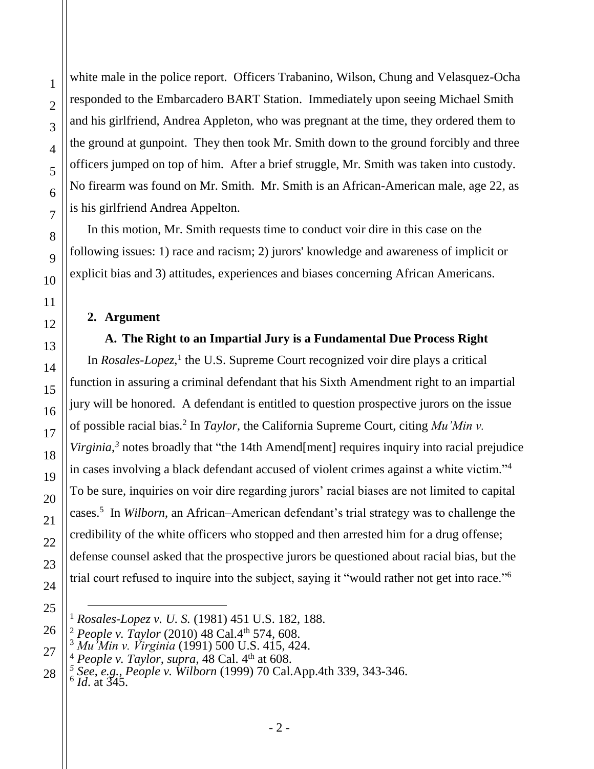white male in the police report. Officers Trabanino, Wilson, Chung and Velasquez-Ocha responded to the Embarcadero BART Station. Immediately upon seeing Michael Smith and his girlfriend, Andrea Appleton, who was pregnant at the time, they ordered them to the ground at gunpoint. They then took Mr. Smith down to the ground forcibly and three officers jumped on top of him. After a brief struggle, Mr. Smith was taken into custody. No firearm was found on Mr. Smith. Mr. Smith is an African-American male, age 22, as is his girlfriend Andrea Appelton.

In this motion, Mr. Smith requests time to conduct voir dire in this case on the following issues: 1) race and racism; 2) jurors' knowledge and awareness of implicit or explicit bias and 3) attitudes, experiences and biases concerning African Americans.

#### **2. Argument**

#### **A. The Right to an Impartial Jury is a Fundamental Due Process Right**

In *Rosales-Lopez*,<sup>1</sup> the U.S. Supreme Court recognized voir dire plays a critical function in assuring a criminal defendant that his Sixth Amendment right to an impartial jury will be honored. A defendant is entitled to question prospective jurors on the issue of possible racial bias.<sup>2</sup> In *Taylor*, the California Supreme Court, citing *Mu'Min v*. Virginia,<sup>3</sup> notes broadly that "the 14th Amend[ment] requires inquiry into racial prejudice in cases involving a black defendant accused of violent crimes against a white victim."<sup>4</sup> To be sure, inquiries on voir dire regarding jurors' racial biases are not limited to capital cases.<sup>5</sup> In *Wilborn*, an African–American defendant's trial strategy was to challenge the credibility of the white officers who stopped and then arrested him for a drug offense; defense counsel asked that the prospective jurors be questioned about racial bias, but the trial court refused to inquire into the subject, saying it "would rather not get into race."<sup>6</sup>

<sup>1</sup> *Rosales-Lopez v. U. S.* (1981) 451 U.S. 182, 188.

<sup>&</sup>lt;sup>2</sup> *People v. Taylor* (2010) 48 Cal.4<sup>th</sup> 574, 608.

<sup>3</sup> *Mu'Min v. Virginia* (1991) 500 U.S. 415, 424.

*People v. Taylor, supra,* 48 Cal. 4<sup>th</sup> at 608.

*<sup>5</sup> See*, *e.g.*, *People v. Wilborn* [\(1999\) 70 Cal.App.4th 339, 343-346.](http://www.westlaw.com/Link/Document/FullText?findType=Y&pubNum=4041&cite=70CALAPP4TH339&originatingDoc=I65b29fd9fab511d98ac8f235252e36df&refType=RP&fi=co_pp_sp_4041_343&originationContext=document&vr=3.0&rs=cblt1.0&transitionType=DocumentItem&contextData=(sc.UserEnteredCitation)#co_pp_sp_4041_343) 6 *Id*. at 345.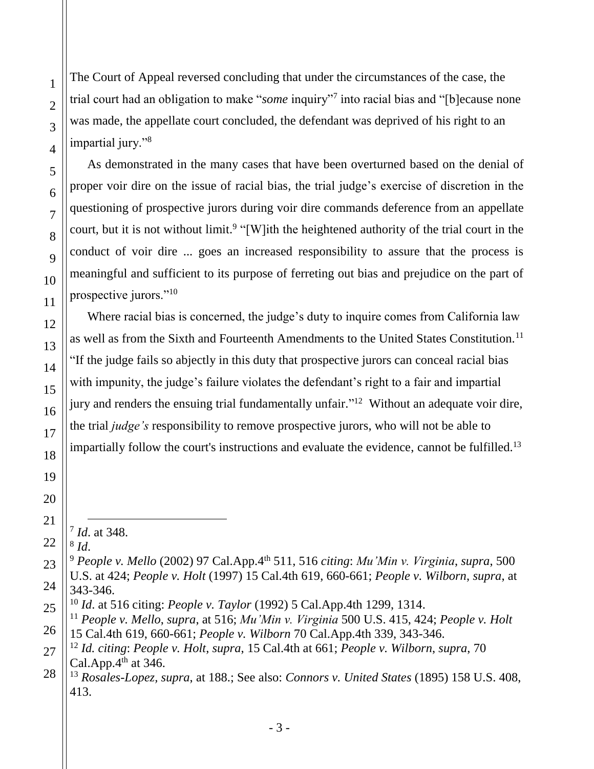The Court of Appeal reversed concluding that under the circumstances of the case, the trial court had an obligation to make "*some* inquiry"<sup>7</sup> into racial bias and "[b]ecause none was made, the appellate court concluded, the defendant was deprived of his right to an impartial jury."<sup>8</sup>

As demonstrated in the many cases that have been overturned based on the denial of proper voir dire on the issue of racial bias, the trial judge's exercise of discretion in the questioning of prospective jurors during voir dire commands deference from an appellate court, but it is not without limit.<sup>9</sup> "[W]ith the heightened authority of the trial court in the conduct of voir dire ... goes an increased responsibility to assure that the process is meaningful and sufficient to its purpose of ferreting out bias and prejudice on the part of prospective jurors."<sup>10</sup>

Where racial bias is concerned, the judge's duty to inquire comes from California law as well as from the Sixth and Fourteenth Amendments to the United States Constitution.<sup>11</sup> "If the judge fails so abjectly in this duty that prospective jurors can conceal racial bias with impunity, the judge's failure violates the defendant's right to a fair and impartial jury and renders the ensuing trial fundamentally unfair."<sup>12</sup> Without an adequate voir dire, the trial *judge's* responsibility to remove prospective jurors, who will not be able to impartially follow the court's instructions and evaluate the evidence, cannot be fulfilled.<sup>13</sup>

7 *Id*. at 348. 8 *Id*.

<sup>10</sup> *Id*. at 516 citing: *People v. Taylor* [\(1992\) 5 Cal.App.4th 1299, 1314.](http://www.westlaw.com/Link/Document/FullText?findType=Y&pubNum=4041&cite=5CALAPP4TH1299&originatingDoc=I65b29fd9fab511d98ac8f235252e36df&refType=RP&fi=co_pp_sp_4041_1314&originationContext=document&vr=3.0&rs=cblt1.0&transitionType=DocumentItem&contextData=(sc.UserEnteredCitation)#co_pp_sp_4041_1314)

<sup>9</sup> *People v. Mello* (2002) 97 Cal.App.4th 511, 516 *citing*: *Mu'Min v. Virginia*, *supra*, 500 U.S. at 424; *People v. Holt* [\(1997\) 15 Cal.4th 619, 660-661;](http://www.westlaw.com/Link/Document/FullText?findType=Y&pubNum=4040&cite=15CAL4TH619&originatingDoc=I65b29fd9fab511d98ac8f235252e36df&refType=RP&fi=co_pp_sp_4040_660&originationContext=document&vr=3.0&rs=cblt1.0&transitionType=DocumentItem&contextData=(sc.UserEnteredCitation)#co_pp_sp_4040_660) *[People v. Wilborn](http://www.westlaw.com/Link/Document/FullText?findType=Y&pubNum=4041&cite=70CALAPP4TH339&originatingDoc=I65b29fd9fab511d98ac8f235252e36df&refType=RP&fi=co_pp_sp_4041_343&originationContext=document&vr=3.0&rs=cblt1.0&transitionType=DocumentItem&contextData=(sc.UserEnteredCitation)#co_pp_sp_4041_343)*, *supra*, at [343-346.](http://www.westlaw.com/Link/Document/FullText?findType=Y&pubNum=4041&cite=70CALAPP4TH339&originatingDoc=I65b29fd9fab511d98ac8f235252e36df&refType=RP&fi=co_pp_sp_4041_343&originationContext=document&vr=3.0&rs=cblt1.0&transitionType=DocumentItem&contextData=(sc.UserEnteredCitation)#co_pp_sp_4041_343)

<sup>11</sup> *People v. Mello*, *supra*, at 516; *Mu'Min v. Virginia* 500 U.S. 415, 424; *[People v. Holt](http://www.westlaw.com/Link/Document/FullText?findType=Y&pubNum=4040&cite=15CAL4TH619&originatingDoc=I65b29fd9fab511d98ac8f235252e36df&refType=RP&fi=co_pp_sp_4040_660&originationContext=document&vr=3.0&rs=cblt1.0&transitionType=DocumentItem&contextData=(sc.UserEnteredCitation)#co_pp_sp_4040_660)* [15 Cal.4th 619, 660-661;](http://www.westlaw.com/Link/Document/FullText?findType=Y&pubNum=4040&cite=15CAL4TH619&originatingDoc=I65b29fd9fab511d98ac8f235252e36df&refType=RP&fi=co_pp_sp_4040_660&originationContext=document&vr=3.0&rs=cblt1.0&transitionType=DocumentItem&contextData=(sc.UserEnteredCitation)#co_pp_sp_4040_660) *People v. Wilborn* [70 Cal.App.4th 339, 343-346.](http://www.westlaw.com/Link/Document/FullText?findType=Y&pubNum=4041&cite=70CALAPP4TH339&originatingDoc=I65b29fd9fab511d98ac8f235252e36df&refType=RP&fi=co_pp_sp_4041_343&originationContext=document&vr=3.0&rs=cblt1.0&transitionType=DocumentItem&contextData=(sc.UserEnteredCitation)#co_pp_sp_4041_343)

<sup>12</sup> *Id. citing*: *People v. Holt*, *supra*, 15 [Cal.4th at 661;](http://www.westlaw.com/Link/Document/FullText?findType=Y&pubNum=4040&cite=15CAL4TH619&originatingDoc=I65b29fd9fab511d98ac8f235252e36df&refType=RP&fi=co_pp_sp_4040_660&originationContext=document&vr=3.0&rs=cblt1.0&transitionType=DocumentItem&contextData=(sc.UserEnteredCitation)#co_pp_sp_4040_660) *[People v. Wilborn](http://www.westlaw.com/Link/Document/FullText?findType=Y&pubNum=4041&cite=70CALAPP4TH339&originatingDoc=I65b29fd9fab511d98ac8f235252e36df&refType=RP&fi=co_pp_sp_4041_343&originationContext=document&vr=3.0&rs=cblt1.0&transitionType=DocumentItem&contextData=(sc.UserEnteredCitation)#co_pp_sp_4041_343)*, *supra*, 70 Cal.App. $4<sup>th</sup>$  at 346.

<sup>13</sup> *Rosales-Lopez, supra*, at 188.; See also: *Connors v. United States* (1895) 158 U.S. 408, 413.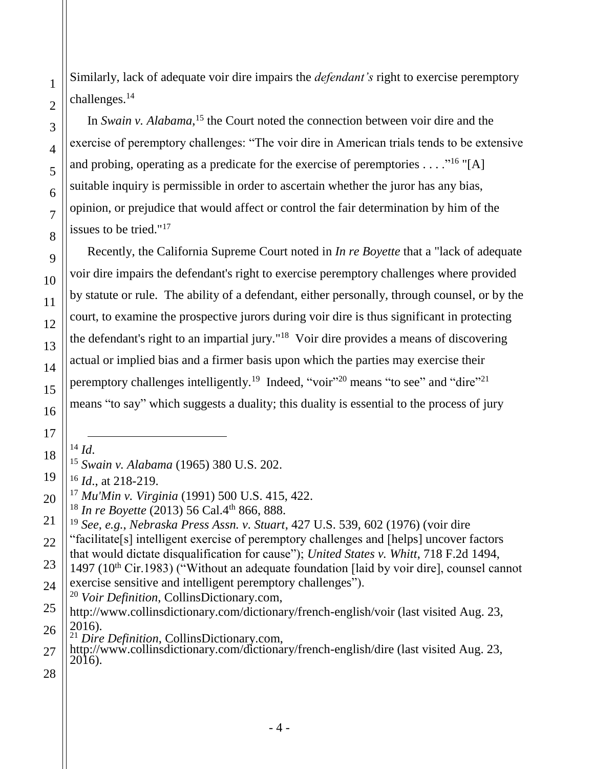Similarly, lack of adequate voir dire impairs the *defendant's* right to exercise peremptory challenges.<sup>14</sup>

In *Swain v. Alabama*,<sup>15</sup> the Court noted the connection between voir dire and the exercise of peremptory challenges: "The voir dire in American trials tends to be extensive and probing, operating as a predicate for the exercise of peremptories  $\dots$ ."<sup>16</sup> "[A] suitable inquiry is permissible in order to ascertain whether the juror has any bias, opinion, or prejudice that would affect or control the fair determination by him of the issues to be tried."<sup>17</sup>

Recently, the California Supreme Court noted in *In re Boyette* that a "lack of adequate voir dire impairs the defendant's right to exercise peremptory challenges where provided by statute or rule. The ability of a defendant, either personally, through counsel, or by the court, to examine the prospective jurors during voir dire is thus significant in protecting the defendant's right to an impartial jury." 18 Voir dire provides a means of discovering actual or implied bias and a firmer basis upon which the parties may exercise their peremptory challenges intelligently.<sup>19</sup> Indeed, "voir"<sup>20</sup> means "to see" and "dire"<sup>21</sup> means "to say" which suggests a duality; this duality is essential to the process of jury

<sup>14</sup> *Id*.

1

2

3

4

5

6

7

8

9

10

11

12

13

14

15

16

17

<sup>16</sup> *Id*., at 218-219.

"facilitate[s] intelligent exercise of peremptory challenges and [helps] uncover factors that would dictate disqualification for cause"); *United States v. Whitt*, 718 F.2d 1494,

- <sup>20</sup> *Voir Definition*, CollinsDictionary.com,
- 26 http://www.collinsdictionary.com/dictionary/french-english/voir (last visited Aug. 23, 2016).
	- <sup>21</sup> *Dire Definition*, CollinsDictionary.com,

<sup>15</sup> *Swain v. Alabama* (1965) 380 U.S. 202.

<sup>17</sup> *Mu'Min v. Virginia* (1991) 500 U.S. 415, 422.

<sup>&</sup>lt;sup>18</sup> In re Boyette (2013) 56 Cal.4<sup>th</sup> 866, 888.

<sup>19</sup> *See*, *e.g.*, *Nebraska Press Assn. v. Stuart*, 427 U.S. 539, 602 (1976) (voir dire

<sup>1497 (10&</sup>lt;sup>th</sup> Cir.1983) ("Without an adequate foundation [laid by voir dire], counsel cannot exercise sensitive and intelligent peremptory challenges").

http://www.collinsdictionary.com/dictionary/french-english/dire (last visited Aug. 23, 2016).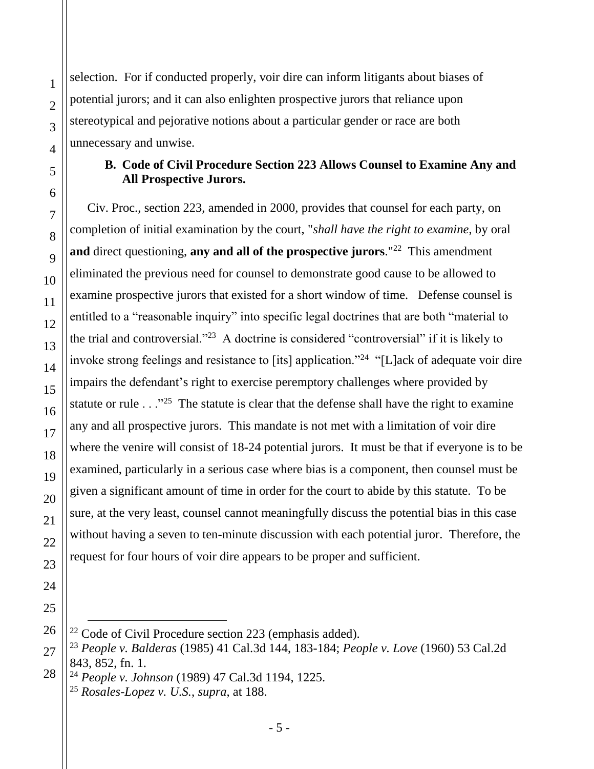selection. For if conducted properly, voir dire can inform litigants about biases of potential jurors; and it can also enlighten prospective jurors that reliance upon stereotypical and pejorative notions about a particular gender or race are both unnecessary and unwise.

#### **B. Code of Civil Procedure Section 223 Allows Counsel to Examine Any and All Prospective Jurors.**

Civ. Proc., section 223, amended in 2000, provides that counsel for each party, on completion of initial examination by the court, "*shall have the right to examine*, by oral and direct questioning, any and all of the prospective jurors.<sup>"22</sup> This amendment eliminated the previous need for counsel to demonstrate good cause to be allowed to examine prospective jurors that existed for a short window of time. Defense counsel is entitled to a "reasonable inquiry" into specific legal doctrines that are both "material to the trial and controversial."<sup>23</sup> A doctrine is considered "controversial" if it is likely to invoke strong feelings and resistance to [its] application."<sup>24</sup> "[L]ack of adequate voir dire impairs the defendant's right to exercise peremptory challenges where provided by statute or rule  $\ldots$ <sup>25</sup> The statute is clear that the defense shall have the right to examine any and all prospective jurors. This mandate is not met with a limitation of voir dire where the venire will consist of 18-24 potential jurors. It must be that if everyone is to be examined, particularly in a serious case where bias is a component, then counsel must be given a significant amount of time in order for the court to abide by this statute. To be sure, at the very least, counsel cannot meaningfully discuss the potential bias in this case without having a seven to ten-minute discussion with each potential juror. Therefore, the request for four hours of voir dire appears to be proper and sufficient.

<sup>24</sup> *People v. Johnson* (1989) 47 Cal.3d 1194, 1225.

 $22$  Code of Civil Procedure section 223 (emphasis added).

<sup>23</sup> *People v. Balderas* (1985) 41 Cal.3d 144, 183-184; *People v. Love* (1960) 53 Cal.2d 843, 852, fn. 1.

<sup>25</sup> *Rosales-Lopez v. U.S.*, *supra*, at 188.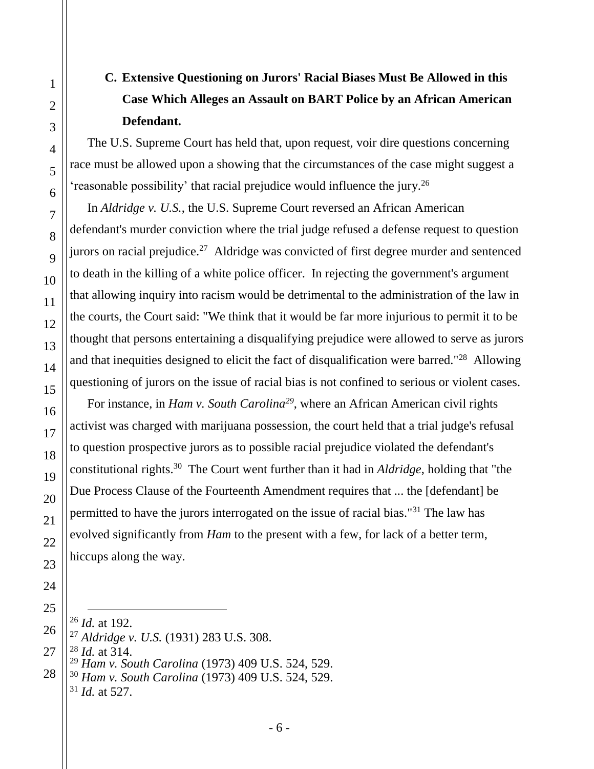# **C. Extensive Questioning on Jurors' Racial Biases Must Be Allowed in this Case Which Alleges an Assault on BART Police by an African American Defendant.**

The U.S. Supreme Court has held that, upon request, voir dire questions concerning race must be allowed upon a showing that the circumstances of the case might suggest a 'reasonable possibility' that racial prejudice would influence the jury.<sup>26</sup>

In *Aldridge v. U.S.*, the U.S. Supreme Court reversed an African American defendant's murder conviction where the trial judge refused a defense request to question jurors on racial prejudice.<sup>27</sup> Aldridge was convicted of first degree murder and sentenced to death in the killing of a white police officer. In rejecting the government's argument that allowing inquiry into racism would be detrimental to the administration of the law in the courts, the Court said: "We think that it would be far more injurious to permit it to be thought that persons entertaining a disqualifying prejudice were allowed to serve as jurors and that inequities designed to elicit the fact of disqualification were barred."<sup>28</sup> Allowing questioning of jurors on the issue of racial bias is not confined to serious or violent cases.

For instance, in *Ham v. South Carolina<sup>29</sup>*, where an African American civil rights activist was charged with marijuana possession, the court held that a trial judge's refusal to question prospective jurors as to possible racial prejudice violated the defendant's constitutional rights.<sup>30</sup> The Court went further than it had in *Aldridge*, holding that "the Due Process Clause of the Fourteenth Amendment requires that ... the [defendant] be permitted to have the jurors interrogated on the issue of racial bias."<sup>31</sup> The law has evolved significantly from *Ham* to the present with a few, for lack of a better term, hiccups along the way.

<sup>26</sup> *Id.* at 192.

- <sup>27</sup> *Aldridge v. U.S.* (1931) 283 U.S. 308.
- <sup>28</sup> *Id.* at 314.
	- <sup>29</sup> *Ham v. South Carolina* (1973) 409 U.S. 524, 529.

<sup>30</sup> *Ham v. South Carolina* (1973) 409 U.S. 524, 529. <sup>31</sup> *Id.* at 527.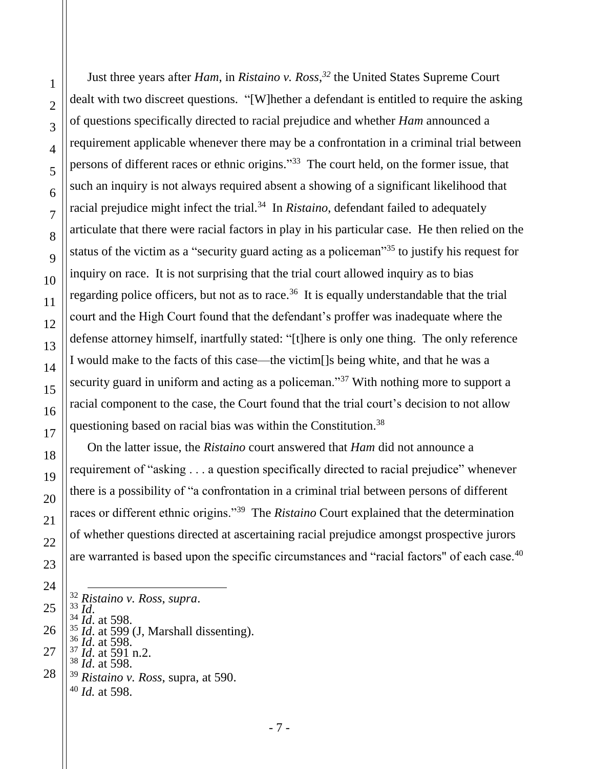Just three years after *Ham*, in *Ristaino v. Ross*, *<sup>32</sup>* the United States Supreme Court dealt with two discreet questions. "[W]hether a defendant is entitled to require the asking of questions specifically directed to racial prejudice and whether *Ham* announced a requirement applicable whenever there may be a confrontation in a criminal trial between persons of different races or ethnic origins."<sup>33</sup> The court held, on the former issue, that such an inquiry is not always required absent a showing of a significant likelihood that racial prejudice might infect the trial. 34 In *Ristaino*, defendant failed to adequately articulate that there were racial factors in play in his particular case. He then relied on the status of the victim as a "security guard acting as a policeman"<sup>35</sup> to justify his request for inquiry on race. It is not surprising that the trial court allowed inquiry as to bias regarding police officers, but not as to race.<sup>36</sup> It is equally understandable that the trial court and the High Court found that the defendant's proffer was inadequate where the defense attorney himself, inartfully stated: "[t]here is only one thing. The only reference I would make to the facts of this case—the victim[]s being white, and that he was a security guard in uniform and acting as a policeman."<sup>37</sup> With nothing more to support a racial component to the case, the Court found that the trial court's decision to not allow questioning based on racial bias was within the Constitution.<sup>38</sup>

On the latter issue, the *Ristaino* court answered that *Ham* did not announce a requirement of "asking . . . a question specifically directed to racial prejudice" whenever there is a possibility of "a confrontation in a criminal trial between persons of different races or different ethnic origins."<sup>39</sup> The *Ristaino* Court explained that the determination of whether questions directed at ascertaining racial prejudice amongst prospective jurors are warranted is based upon the specific circumstances and "racial factors" of each case.<sup>40</sup>

- $\overline{a}$ <sup>32</sup> *Ristaino v. Ross*, *supra*.
- <sup>33</sup> *Id*.
	- $^{34}_{35}$  *Id.* at 598.
	- <sup>35</sup> *Id.* at 599 (J, Marshall dissenting). <sup>36</sup> *Id*. at 598.
	- $^{37}_{20}$  *Id.* at 591 n.2.
	- <sup>38</sup> *Id*. at 598.
	- <sup>39</sup> *Ristaino v. Ross*, supra, at 590. <sup>40</sup> *Id.* at 598.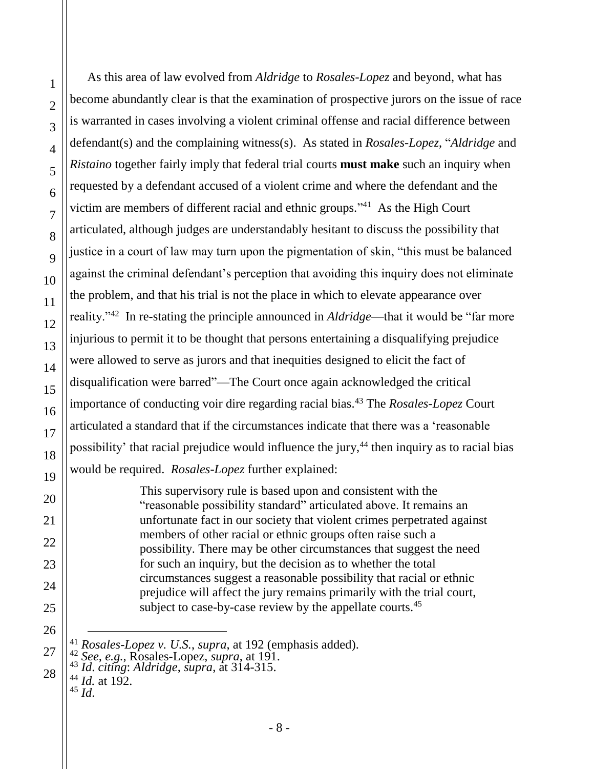As this area of law evolved from *Aldridge* to *Rosales-Lopez* and beyond, what has become abundantly clear is that the examination of prospective jurors on the issue of race is warranted in cases involving a violent criminal offense and racial difference between defendant(s) and the complaining witness(s). As stated in *Rosales-Lopez*, "*Aldridge* and *Ristaino* together fairly imply that federal trial courts **must make** such an inquiry when requested by a defendant accused of a violent crime and where the defendant and the victim are members of different racial and ethnic groups." <sup>41</sup> As the High Court articulated, although judges are understandably hesitant to discuss the possibility that justice in a court of law may turn upon the pigmentation of skin, "this must be balanced against the criminal defendant's perception that avoiding this inquiry does not eliminate the problem, and that his trial is not the place in which to elevate appearance over reality."<sup>42</sup> In re-stating the principle announced in *Aldridge*—that it would be "far more injurious to permit it to be thought that persons entertaining a disqualifying prejudice were allowed to serve as jurors and that inequities designed to elicit the fact of disqualification were barred"—The Court once again acknowledged the critical importance of conducting voir dire regarding racial bias. <sup>43</sup> The *Rosales-Lopez* Court articulated a standard that if the circumstances indicate that there was a 'reasonable possibility' that racial prejudice would influence the jury, $44$  then inquiry as to racial bias would be required. *Rosales-Lopez* further explained:

> This supervisory rule is based upon and consistent with the "reasonable possibility standard" articulated above. It remains an unfortunate fact in our society that violent crimes perpetrated against members of other racial or ethnic groups often raise such a possibility. There may be other circumstances that suggest the need for such an inquiry, but the decision as to whether the total circumstances suggest a reasonable possibility that racial or ethnic prejudice will affect the jury remains primarily with the trial court, subject to case-by-case review by the appellate courts.<sup>45</sup>

 $\overline{a}$ 

<sup>41</sup> *Rosales-Lopez v. U.S.*, *supra*, at 192 (emphasis added).

<sup>42</sup> *See, e.g.*, Rosales-Lopez, *supra*, at 191.

<sup>43</sup> *Id*. *citing*: *Aldridge*, *supra*, at 314-315.

<sup>44</sup> *Id.* at 192.  $45$   $\overline{Id}$ .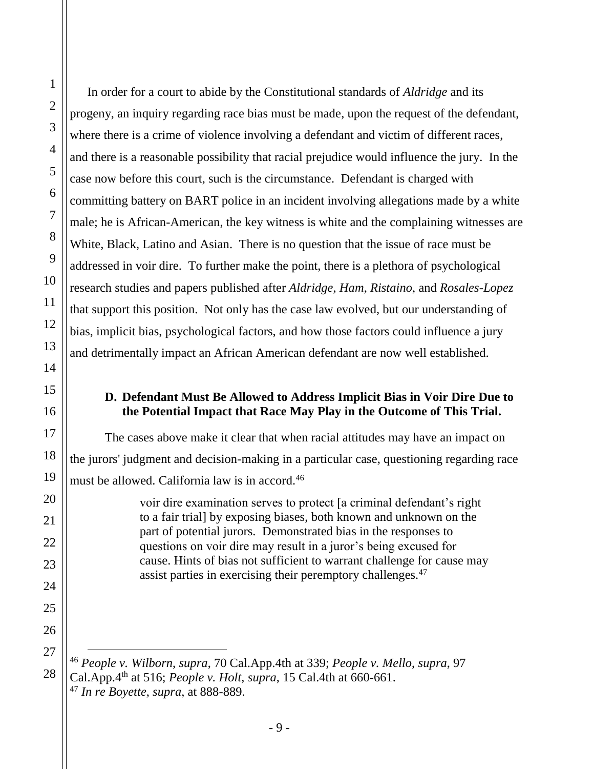In order for a court to abide by the Constitutional standards of *Aldridge* and its progeny, an inquiry regarding race bias must be made, upon the request of the defendant, where there is a crime of violence involving a defendant and victim of different races, and there is a reasonable possibility that racial prejudice would influence the jury. In the case now before this court, such is the circumstance. Defendant is charged with committing battery on BART police in an incident involving allegations made by a white male; he is African-American, the key witness is white and the complaining witnesses are White, Black, Latino and Asian. There is no question that the issue of race must be addressed in voir dire. To further make the point, there is a plethora of psychological research studies and papers published after *Aldridge*, *Ham*, *Ristaino*, and *Rosales-Lopez* that support this position. Not only has the case law evolved, but our understanding of bias, implicit bias, psychological factors, and how those factors could influence a jury and detrimentally impact an African American defendant are now well established.

#### **D. Defendant Must Be Allowed to Address Implicit Bias in Voir Dire Due to the Potential Impact that Race May Play in the Outcome of This Trial.**

The cases above make it clear that when racial attitudes may have an impact on the jurors' judgment and decision-making in a particular case, questioning regarding race must be allowed. California law is in accord.<sup>46</sup>

> voir dire examination serves to protect [a criminal defendant's right to a fair trial] by exposing biases, both known and unknown on the part of potential jurors. Demonstrated bias in the responses to questions on voir dire may result in a juror's being excused for cause. Hints of bias not sufficient to warrant challenge for cause may assist parties in exercising their peremptory challenges.<sup>47</sup>

<sup>46</sup> *People v. Wilborn*, *supra*, 70 Cal.App.4th at 339; *People v. Mello*, *supra*, 97 Cal.App.4th at 516; *[People v. Holt](http://www.westlaw.com/Link/Document/FullText?findType=Y&pubNum=4040&cite=15CAL4TH619&originatingDoc=I65b29fd9fab511d98ac8f235252e36df&refType=RP&fi=co_pp_sp_4040_660&originationContext=document&vr=3.0&rs=cblt1.0&transitionType=DocumentItem&contextData=(sc.UserEnteredCitation)#co_pp_sp_4040_660)*, *supra*, 15 Cal.4th at 660-661. <sup>47</sup> *In re Boyette*, *supra*, at 888-889.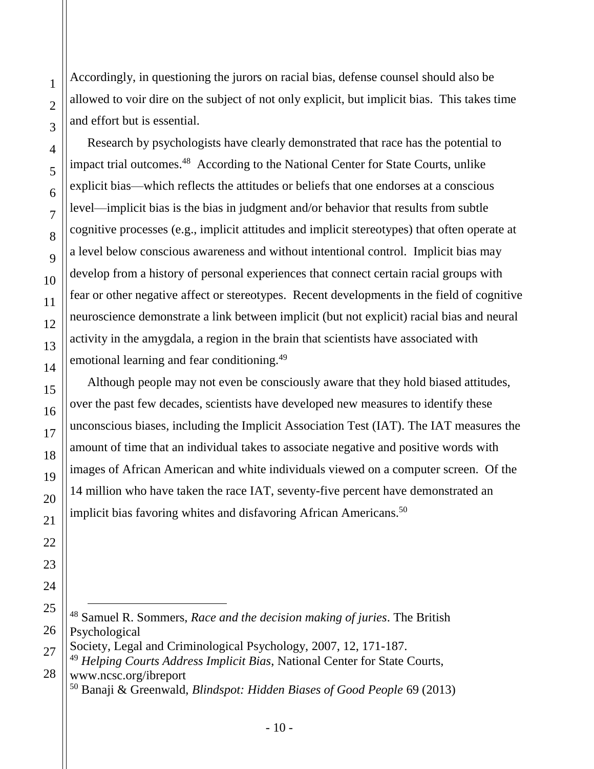Accordingly, in questioning the jurors on racial bias, defense counsel should also be allowed to voir dire on the subject of not only explicit, but implicit bias. This takes time and effort but is essential.

Research by psychologists have clearly demonstrated that race has the potential to impact trial outcomes.<sup>48</sup> According to the National Center for State Courts, unlike explicit bias—which reflects the attitudes or beliefs that one endorses at a conscious level—implicit bias is the bias in judgment and/or behavior that results from subtle cognitive processes (e.g., implicit attitudes and implicit stereotypes) that often operate at a level below conscious awareness and without intentional control. Implicit bias may develop from a history of personal experiences that connect certain racial groups with fear or other negative affect or stereotypes. Recent developments in the field of cognitive neuroscience demonstrate a link between implicit (but not explicit) racial bias and neural activity in the amygdala, a region in the brain that scientists have associated with emotional learning and fear conditioning.<sup>49</sup>

Although people may not even be consciously aware that they hold biased attitudes, over the past few decades, scientists have developed new measures to identify these unconscious biases, including the Implicit Association Test (IAT). The IAT measures the amount of time that an individual takes to associate negative and positive words with images of African American and white individuals viewed on a computer screen. Of the 14 million who have taken the race IAT, seventy-five percent have demonstrated an implicit bias favoring whites and disfavoring African Americans.<sup>50</sup>

<sup>48</sup> Samuel R. Sommers, *Race and the decision making of juries*. The British Psychological

Society, Legal and Criminological Psychology, 2007, 12, 171-187.

<sup>49</sup> *Helping Courts Address Implicit Bias*, National Center for State Courts, www.ncsc.org/ibreport

<sup>50</sup> Banaji & Greenwald, *Blindspot: Hidden Biases of Good People* 69 (2013)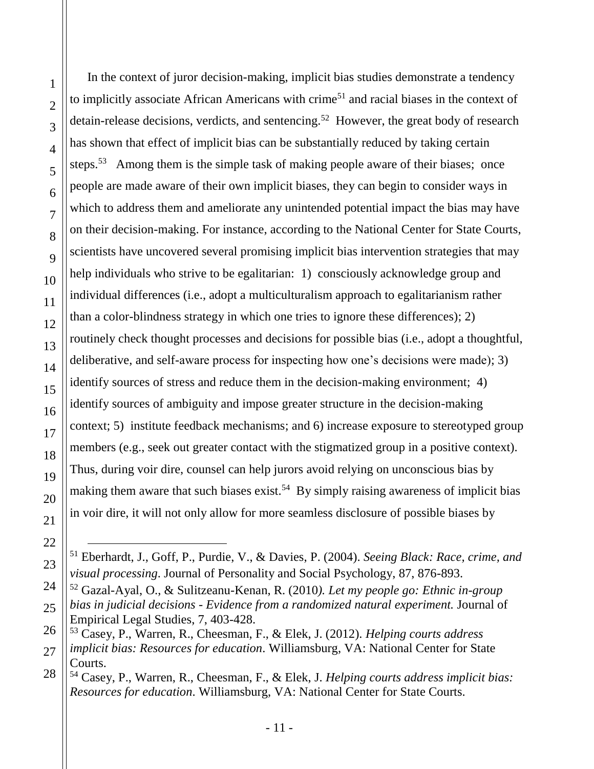$\overline{a}$ 

In the context of juror decision-making, implicit bias studies demonstrate a tendency to implicitly associate African Americans with crime<sup>51</sup> and racial biases in the context of detain-release decisions, verdicts, and sentencing.<sup>52</sup> However, the great body of research has shown that effect of implicit bias can be substantially reduced by taking certain steps.<sup>53</sup> Among them is the simple task of making people aware of their biases; once people are made aware of their own implicit biases, they can begin to consider ways in which to address them and ameliorate any unintended potential impact the bias may have on their decision-making. For instance, according to the National Center for State Courts, scientists have uncovered several promising implicit bias intervention strategies that may help individuals who strive to be egalitarian: 1) consciously acknowledge group and individual differences (i.e., adopt a multiculturalism approach to egalitarianism rather than a color-blindness strategy in which one tries to ignore these differences); 2) routinely check thought processes and decisions for possible bias (i.e., adopt a thoughtful, deliberative, and self-aware process for inspecting how one's decisions were made); 3) identify sources of stress and reduce them in the decision-making environment; 4) identify sources of ambiguity and impose greater structure in the decision-making context; 5) institute feedback mechanisms; and 6) increase exposure to stereotyped group members (e.g., seek out greater contact with the stigmatized group in a positive context). Thus, during voir dire, counsel can help jurors avoid relying on unconscious bias by making them aware that such biases exist.<sup>54</sup> By simply raising awareness of implicit bias in voir dire, it will not only allow for more seamless disclosure of possible biases by

<sup>51</sup> Eberhardt, J., Goff, P., Purdie, V., & Davies, P. (2004). *Seeing Black: Race, crime, and visual processing*. Journal of Personality and Social Psychology, 87, 876-893.

<sup>52</sup> Gazal-Ayal, O., & Sulitzeanu-Kenan, R. (2010*). Let my people go: Ethnic in-group bias in judicial decisions - Evidence from a randomized natural experiment.* Journal of Empirical Legal Studies, 7, 403-428.

<sup>53</sup> Casey, P., Warren, R., Cheesman, F., & Elek, J. (2012). *Helping courts address* 

*implicit bias: Resources for education*. Williamsburg, VA: National Center for State Courts.

<sup>54</sup> Casey, P., Warren, R., Cheesman, F., & Elek, J. *Helping courts address implicit bias: Resources for education*. Williamsburg, VA: National Center for State Courts.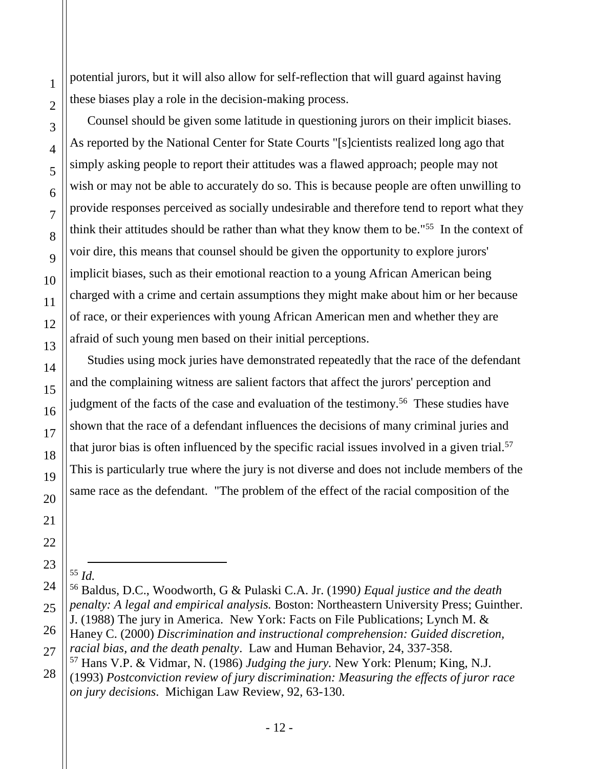potential jurors, but it will also allow for self-reflection that will guard against having these biases play a role in the decision-making process.

Counsel should be given some latitude in questioning jurors on their implicit biases. As reported by the National Center for State Courts "[s]cientists realized long ago that simply asking people to report their attitudes was a flawed approach; people may not wish or may not be able to accurately do so. This is because people are often unwilling to provide responses perceived as socially undesirable and therefore tend to report what they think their attitudes should be rather than what they know them to be."<sup>55</sup> In the context of voir dire, this means that counsel should be given the opportunity to explore jurors' implicit biases, such as their emotional reaction to a young African American being charged with a crime and certain assumptions they might make about him or her because of race, or their experiences with young African American men and whether they are afraid of such young men based on their initial perceptions.

Studies using mock juries have demonstrated repeatedly that the race of the defendant and the complaining witness are salient factors that affect the jurors' perception and judgment of the facts of the case and evaluation of the testimony.<sup>56</sup> These studies have shown that the race of a defendant influences the decisions of many criminal juries and that juror bias is often influenced by the specific racial issues involved in a given trial.<sup>57</sup> This is particularly true where the jury is not diverse and does not include members of the same race as the defendant. "The problem of the effect of the racial composition of the

 $\overline{a}$ 

<sup>55</sup> *Id.*

<sup>56</sup> Baldus, D.C., Woodworth, G & Pulaski C.A. Jr. (1990*) Equal justice and the death penalty: A legal and empirical analysis.* Boston: Northeastern University Press; Guinther. J. (1988) The jury in America. New York: Facts on File Publications; Lynch M. & Haney C. (2000) *Discrimination and instructional comprehension: Guided discretion,* 

*racial bias, and the death penalty*. Law and Human Behavior, 24, 337-358.

<sup>57</sup> Hans V.P. & Vidmar, N. (1986) *Judging the jury.* New York: Plenum; King, N.J. (1993) *Postconviction review of jury discrimination: Measuring the effects of juror race on jury decisions*. Michigan Law Review, 92, 63-130.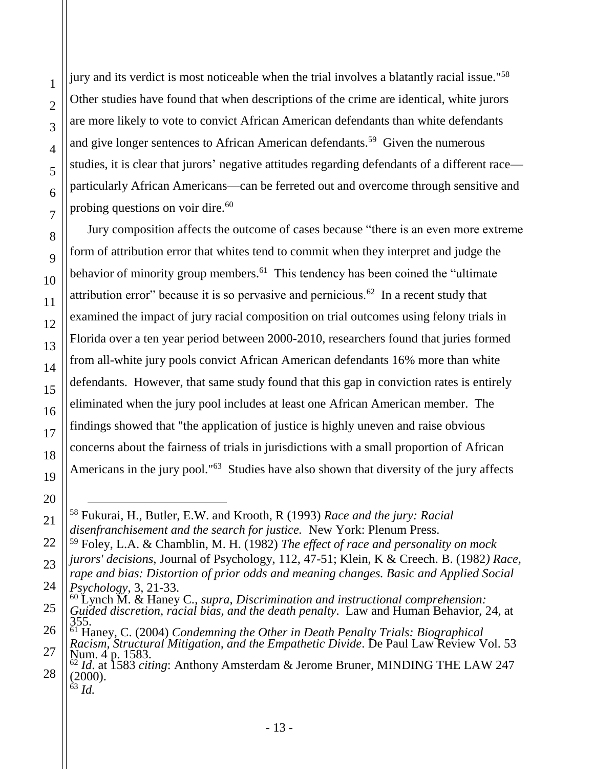1

2

jury and its verdict is most noticeable when the trial involves a blatantly racial issue."<sup>58</sup> Other studies have found that when descriptions of the crime are identical, white jurors are more likely to vote to convict African American defendants than white defendants and give longer sentences to African American defendants.<sup>59</sup> Given the numerous studies, it is clear that jurors' negative attitudes regarding defendants of a different race particularly African Americans—can be ferreted out and overcome through sensitive and probing questions on voir dire.<sup>60</sup>

Jury composition affects the outcome of cases because "there is an even more extreme form of attribution error that whites tend to commit when they interpret and judge the behavior of minority group members.<sup>61</sup> This tendency has been coined the "ultimate" attribution error" because it is so pervasive and pernicious.<sup>62</sup> In a recent study that examined the impact of jury racial composition on trial outcomes using felony trials in Florida over a ten year period between 2000-2010, researchers found that juries formed from all-white jury pools convict African American defendants 16% more than white defendants. However, that same study found that this gap in conviction rates is entirely eliminated when the jury pool includes at least one African American member. The findings showed that "the application of justice is highly uneven and raise obvious concerns about the fairness of trials in jurisdictions with a small proportion of African Americans in the jury pool."<sup>63</sup> Studies have also shown that diversity of the jury affects

 $\overline{a}$ <sup>58</sup> Fukurai, H., Butler, E.W. and Krooth, R (1993) *Race and the jury: Racial disenfranchisement and the search for justice.* New York: Plenum Press.

<sup>59</sup> Foley, L.A. & Chamblin, M. H. (1982) *The effect of race and personality on mock jurors' decisions*, Journal of Psychology, 112, 47-51; Klein, K & Creech. B. (1982*) Race,* 

*rape and bias: Distortion of prior odds and meaning changes. Basic and Applied Social Psychology*, 3, 21-33.

<sup>60</sup> Lynch M. & Haney C., *supra*, *Discrimination and instructional comprehension:* 

*Guided discretion, racial bias, and the death penalty*. Law and Human Behavior, 24, at 355.

<sup>61</sup> Haney, C. (2004) *Condemning the Other in Death Penalty Trials: Biographical Racism, Structural Mitigation, and the Empathetic Divide*. De Paul Law Review Vol. 53 Num. 4 p. 1583.

<sup>62</sup> *Id*. at 1583 *citing*: Anthony Amsterdam & Jerome Bruner, MINDING THE LAW 247 (2000). <sup>63</sup> *Id.*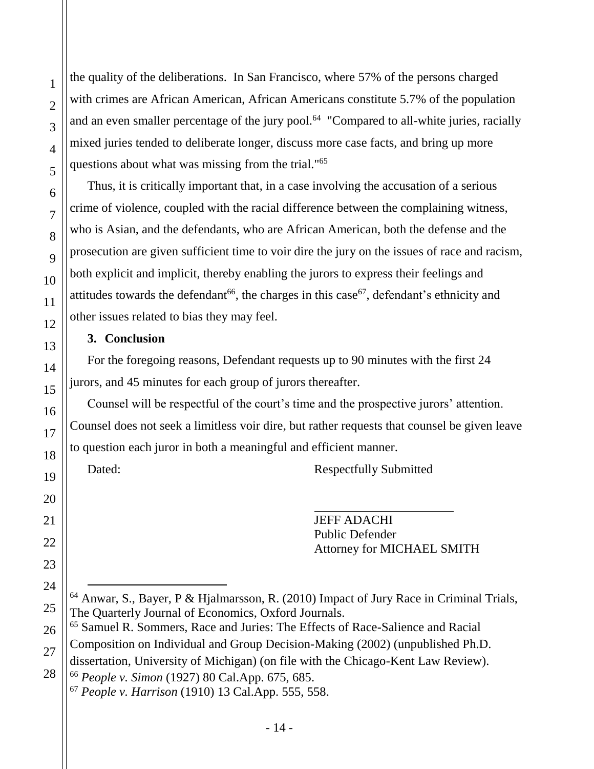the quality of the deliberations. In San Francisco, where 57% of the persons charged with crimes are African American, African Americans constitute 5.7% of the population and an even smaller percentage of the jury pool.<sup>64</sup> "Compared to all-white juries, racially mixed juries tended to deliberate longer, discuss more case facts, and bring up more questions about what was missing from the trial."<sup>65</sup>

Thus, it is critically important that, in a case involving the accusation of a serious crime of violence, coupled with the racial difference between the complaining witness, who is Asian, and the defendants, who are African American, both the defense and the prosecution are given sufficient time to voir dire the jury on the issues of race and racism, both explicit and implicit, thereby enabling the jurors to express their feelings and attitudes towards the defendant<sup>66</sup>, the charges in this case<sup>67</sup>, defendant's ethnicity and other issues related to bias they may feel.

### **3. Conclusion**

For the foregoing reasons, Defendant requests up to 90 minutes with the first 24 jurors, and 45 minutes for each group of jurors thereafter.

Counsel will be respectful of the court's time and the prospective jurors' attention. Counsel does not seek a limitless voir dire, but rather requests that counsel be given leave to question each juror in both a meaningful and efficient manner.

Dated: Respectfully Submitted

JEFF ADACHI Public Defender Attorney for MICHAEL SMITH

<sup>66</sup> *People v. Simon* (1927) 80 Cal.App. 675, 685. <sup>67</sup> *People v. Harrison* (1910) 13 Cal.App. 555, 558.

 $\overline{a}$  $64$  Anwar, S., Bayer, P & Hjalmarsson, R. (2010) Impact of Jury Race in Criminal Trials, The Quarterly Journal of Economics, Oxford Journals.

<sup>65</sup> Samuel R. Sommers, Race and Juries: The Effects of Race-Salience and Racial Composition on Individual and Group Decision-Making (2002) (unpublished Ph.D. dissertation, University of Michigan) (on file with the Chicago-Kent Law Review).